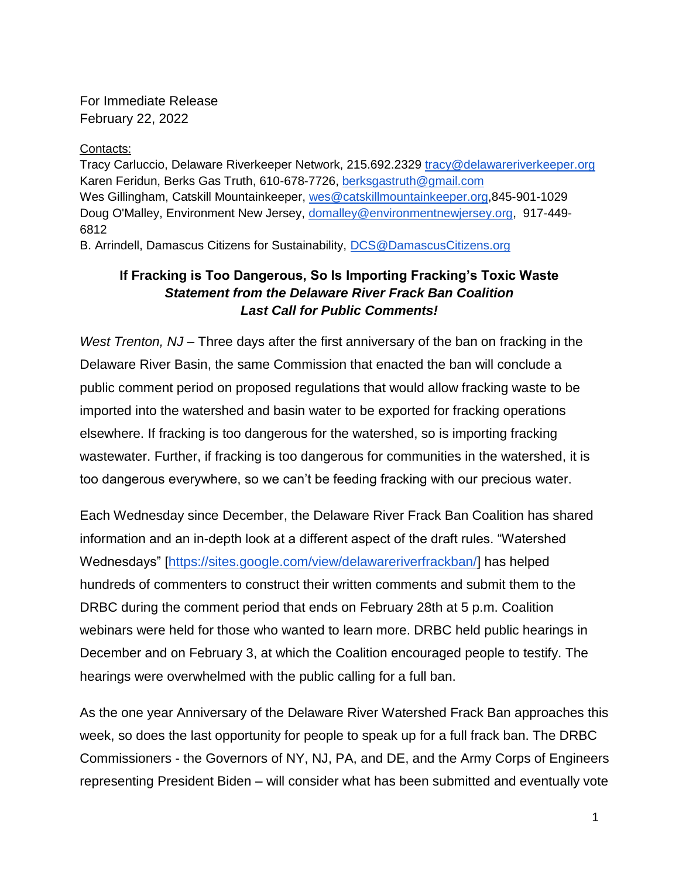For Immediate Release February 22, 2022

Contacts:

Tracy Carluccio, Delaware Riverkeeper Network, 215.692.2329 [tracy@delawareriverkeeper.org](mailto:tracy@delawareriverkeeper.org) Karen Feridun, Berks Gas Truth, 610-678-7726, [berksgastruth@gmail.com](mailto:berksgastruth@gmail.com) Wes Gillingham, Catskill Mountainkeeper, [wes@catskillmountainkeeper.org,](mailto:wes@catskillmountainkeeper.org)845-901-1029 Doug O'Malley, Environment New Jersey, [domalley@environmentnewjersey.org,](mailto:domalley@environmentnewjersey.org) 917-449- 6812 B. Arrindell, Damascus Citizens for Sustainability, [DCS@DamascusCitizens.org](mailto:DCS@DamascusCitizens.org)

## **If Fracking is Too Dangerous, So Is Importing Fracking's Toxic Waste**  *Statement from the Delaware River Frack Ban Coalition Last Call for Public Comments!*

*West Trenton, NJ* – Three days after the first anniversary of the ban on fracking in the Delaware River Basin, the same Commission that enacted the ban will conclude a public comment period on proposed regulations that would allow fracking waste to be imported into the watershed and basin water to be exported for fracking operations elsewhere. If fracking is too dangerous for the watershed, so is importing fracking wastewater. Further, if fracking is too dangerous for communities in the watershed, it is too dangerous everywhere, so we can't be feeding fracking with our precious water.

Each Wednesday since December, the Delaware River Frack Ban Coalition has shared information and an in-depth look at a different aspect of the draft rules. "Watershed Wednesdays" [\[https://sites.google.com/view/delawareriverfrackban/\]](https://sites.google.com/view/delawareriverfrackban/) has helped hundreds of commenters to construct their written comments and submit them to the DRBC during the comment period that ends on February 28th at 5 p.m. Coalition webinars were held for those who wanted to learn more. DRBC held public hearings in December and on February 3, at which the Coalition encouraged people to testify. The hearings were overwhelmed with the public calling for a full ban.

As the one year Anniversary of the Delaware River Watershed Frack Ban approaches this week, so does the last opportunity for people to speak up for a full frack ban. The DRBC Commissioners - the Governors of NY, NJ, PA, and DE, and the Army Corps of Engineers representing President Biden – will consider what has been submitted and eventually vote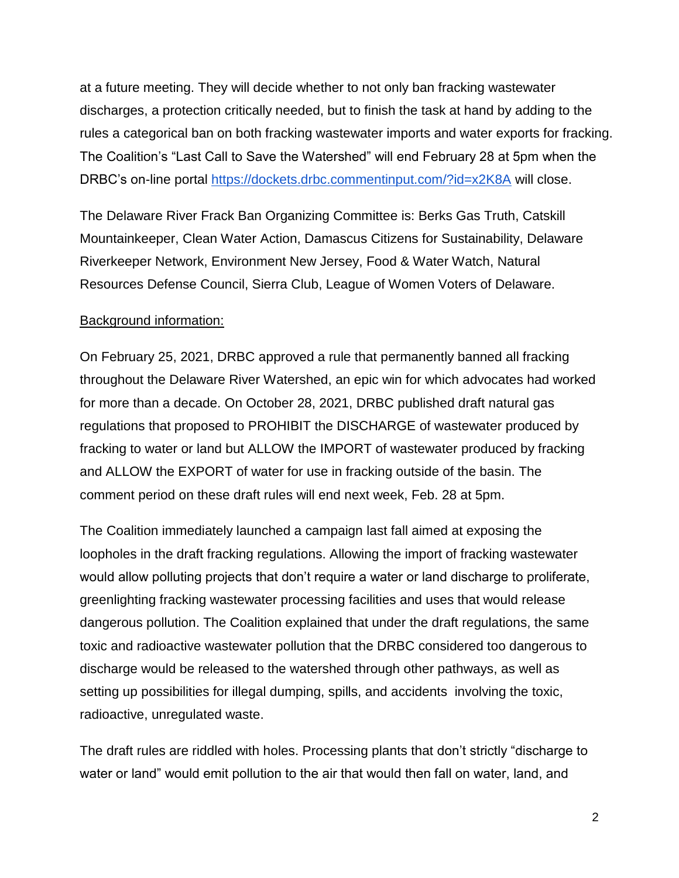at a future meeting. They will decide whether to not only ban fracking wastewater discharges, a protection critically needed, but to finish the task at hand by adding to the rules a categorical ban on both fracking wastewater imports and water exports for fracking. The Coalition's "Last Call to Save the Watershed" will end February 28 at 5pm when the DRBC's on-[l](https://dockets.drbc.commentinput.com/?id=x2K8A)ine portal <https://dockets.drbc.commentinput.com/?id=x2K8A> will close.

The Delaware River Frack Ban Organizing Committee is: Berks Gas Truth, Catskill Mountainkeeper, Clean Water Action, Damascus Citizens for Sustainability, Delaware Riverkeeper Network, Environment New Jersey, Food & Water Watch, Natural Resources Defense Council, Sierra Club, League of Women Voters of Delaware.

## Background information:

On February 25, 2021, DRBC approved a rule that permanently banned all fracking throughout the Delaware River Watershed, an epic win for which advocates had worked for more than a decade. On October 28, 2021, DRBC published draft natural gas regulations that proposed to PROHIBIT the DISCHARGE of wastewater produced by fracking to water or land but ALLOW the IMPORT of wastewater produced by fracking and ALLOW the EXPORT of water for use in fracking outside of the basin. The comment period on these draft rules will end next week, Feb. 28 at 5pm.

The Coalition immediately launched a campaign last fall aimed at exposing the loopholes in the draft fracking regulations. Allowing the import of fracking wastewater would allow polluting projects that don't require a water or land discharge to proliferate, greenlighting fracking wastewater processing facilities and uses that would release dangerous pollution. The Coalition explained that under the draft regulations, the same toxic and radioactive wastewater pollution that the DRBC considered too dangerous to discharge would be released to the watershed through other pathways, as well as setting up possibilities for illegal dumping, spills, and accidents involving the toxic, radioactive, unregulated waste.

The draft rules are riddled with holes. Processing plants that don't strictly "discharge to water or land" would emit pollution to the air that would then fall on water, land, and